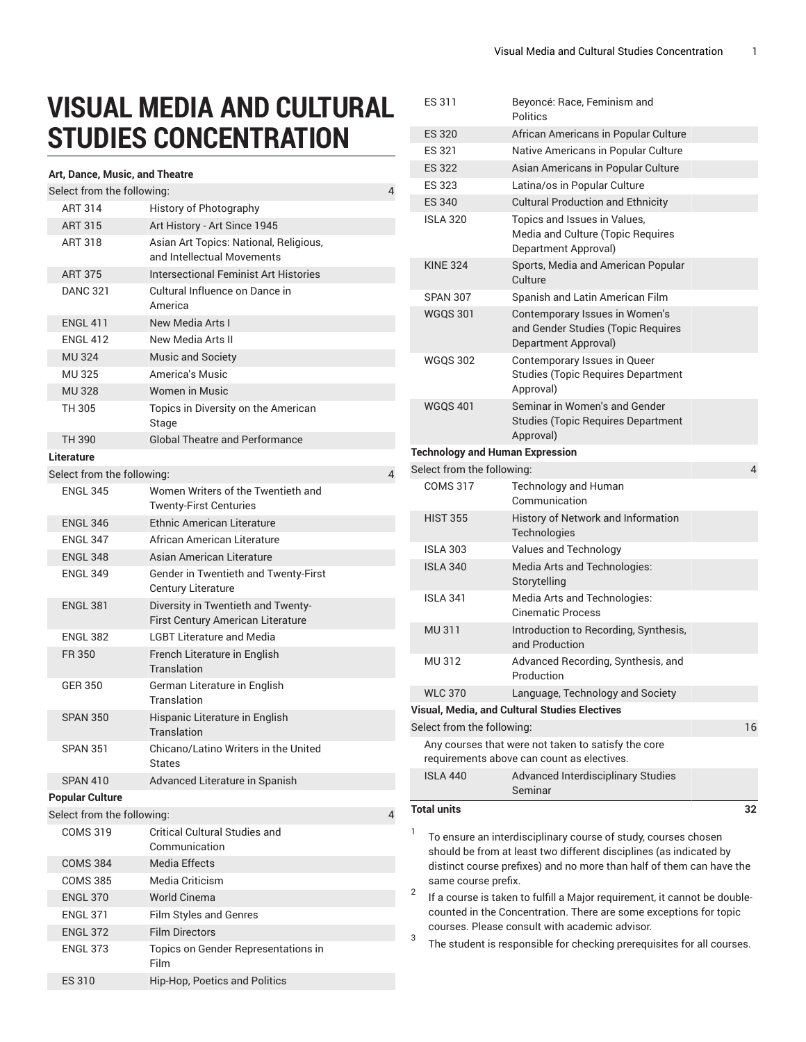## **VISUAL MEDIA AND CULTURAL STUDIES CONCENTRATION**

## **Art, Dance, Music, and Theatre**

|                                 | Art, Dance, Music, and Theatre |                                                                                                             |   |  |  |  |
|---------------------------------|--------------------------------|-------------------------------------------------------------------------------------------------------------|---|--|--|--|
| Select from the following:<br>4 |                                |                                                                                                             |   |  |  |  |
|                                 | <b>ART 314</b>                 | History of Photography                                                                                      |   |  |  |  |
|                                 | <b>ART 315</b>                 | Art History - Art Since 1945                                                                                |   |  |  |  |
|                                 | <b>ART 318</b>                 | Asian Art Topics: National, Religious,<br>and Intellectual Movements                                        |   |  |  |  |
|                                 | <b>ART 375</b>                 | Intersectional Feminist Art Histories                                                                       |   |  |  |  |
|                                 | <b>DANC 321</b>                | Cultural Influence on Dance in<br>America                                                                   |   |  |  |  |
|                                 | <b>ENGL 411</b>                | New Media Arts I                                                                                            |   |  |  |  |
|                                 | <b>ENGL 412</b>                | New Media Arts II                                                                                           |   |  |  |  |
|                                 | <b>MU324</b>                   | <b>Music and Society</b>                                                                                    |   |  |  |  |
|                                 | <b>MU325</b>                   | America's Music                                                                                             |   |  |  |  |
|                                 | <b>MU328</b>                   | <b>Women in Music</b>                                                                                       |   |  |  |  |
|                                 | TH 305                         | Topics in Diversity on the American<br>Stage                                                                |   |  |  |  |
|                                 | TH 390                         | Global Theatre and Performance                                                                              |   |  |  |  |
|                                 | Literature                     |                                                                                                             |   |  |  |  |
|                                 | Select from the following:     |                                                                                                             | 4 |  |  |  |
|                                 | <b>ENGL 345</b>                | Women Writers of the Twentieth and<br><b>Twenty-First Centuries</b>                                         |   |  |  |  |
|                                 | <b>ENGL 346</b>                | <b>Ethnic American Literature</b>                                                                           |   |  |  |  |
|                                 | <b>ENGL 347</b>                | African American Literature                                                                                 |   |  |  |  |
|                                 | <b>ENGL 348</b>                | Asian American Literature                                                                                   |   |  |  |  |
|                                 | <b>ENGL 349</b>                | Gender in Twentieth and Twenty-First                                                                        |   |  |  |  |
|                                 | <b>ENGL 381</b>                | <b>Century Literature</b><br>Diversity in Twentieth and Twenty-<br><b>First Century American Literature</b> |   |  |  |  |
|                                 | <b>ENGL 382</b>                | <b>LGBT Literature and Media</b>                                                                            |   |  |  |  |
|                                 | FR 350                         | French Literature in English                                                                                |   |  |  |  |
|                                 |                                | Translation                                                                                                 |   |  |  |  |
|                                 | <b>GER 350</b>                 | German Literature in English<br>Translation                                                                 |   |  |  |  |
|                                 | <b>SPAN 350</b>                | Hispanic Literature in English<br>Translation                                                               |   |  |  |  |
|                                 | <b>SPAN 351</b>                | Chicano/Latino Writers in the United<br>States                                                              |   |  |  |  |
|                                 | <b>SPAN 410</b>                | Advanced Literature in Spanish                                                                              |   |  |  |  |
| <b>Popular Culture</b>          |                                |                                                                                                             |   |  |  |  |
|                                 | Select from the following:     |                                                                                                             | 4 |  |  |  |
|                                 | <b>COMS 319</b>                | <b>Critical Cultural Studies and</b><br>Communication                                                       |   |  |  |  |
|                                 | <b>COMS 384</b>                | <b>Media Effects</b>                                                                                        |   |  |  |  |
|                                 | <b>COMS 385</b>                | Media Criticism                                                                                             |   |  |  |  |
|                                 | <b>ENGL 370</b>                | <b>World Cinema</b>                                                                                         |   |  |  |  |
|                                 | <b>ENGL 371</b>                | <b>Film Styles and Genres</b>                                                                               |   |  |  |  |
|                                 | <b>ENGL 372</b>                | <b>Film Directors</b>                                                                                       |   |  |  |  |
|                                 | <b>ENGL 373</b>                | Topics on Gender Representations in<br>Film                                                                 |   |  |  |  |
|                                 | ES 310                         | Hip-Hop, Poetics and Politics                                                                               |   |  |  |  |
|                                 |                                |                                                                                                             |   |  |  |  |

| <b>ES 320</b><br>African Americans in Popular Culture<br>ES 321<br>Native Americans in Popular Culture<br><b>ES 322</b><br>Asian Americans in Popular Culture<br>ES 323<br>Latina/os in Popular Culture<br><b>ES 340</b><br><b>Cultural Production and Ethnicity</b><br><b>ISLA 320</b><br>Topics and Issues in Values,<br>Media and Culture (Topic Requires<br>Department Approval)<br><b>KINE 324</b><br>Sports, Media and American Popular<br>Culture<br><b>SPAN 307</b><br>Spanish and Latin American Film<br><b>WGQS 301</b><br>Contemporary Issues in Women's<br>and Gender Studies (Topic Requires<br>Department Approval)<br>Contemporary Issues in Queer<br><b>WGOS 302</b><br><b>Studies (Topic Requires Department</b><br>Approval)<br>Seminar in Women's and Gender<br><b>WGQS 401</b><br><b>Studies (Topic Requires Department</b><br>Approval)<br><b>Technology and Human Expression</b><br>Select from the following:<br>4<br><b>COMS 317</b><br><b>Technology and Human</b><br>Communication<br>History of Network and Information<br><b>HIST 355</b><br>Technologies<br><b>ISLA 303</b><br>Values and Technology<br><b>ISLA 340</b><br>Media Arts and Technologies:<br>Storytelling<br><b>ISLA 341</b><br>Media Arts and Technologies:<br><b>Cinematic Process</b><br>MU 311<br>Introduction to Recording, Synthesis,<br>and Production<br>MU 312<br>Advanced Recording, Synthesis, and<br>Production<br><b>WLC 370</b><br>Language, Technology and Society<br>Visual, Media, and Cultural Studies Electives<br>Select from the following:<br>16<br>Any courses that were not taken to satisfy the core<br>requirements above can count as electives.<br><b>ISLA 440</b><br><b>Advanced Interdisciplinary Studies</b><br>Seminar<br><b>Total units</b><br>32<br>1<br>To ensure an interdisciplinary course of study, courses chosen<br>should be from at least two different disciplines (as indicated by<br>distinct course prefixes) and no more than half of them can have the<br>same course prefix.<br>2<br>If a course is taken to fulfill a Major requirement, it cannot be double-<br>counted in the Concentration. There are some exceptions for topic<br>courses. Please consult with academic advisor.<br>3<br>The student is responsible for checking prerequisites for all courses. |  | ES 311 | Beyoncé: Race, Feminism and<br>Politics |  |  |
|-------------------------------------------------------------------------------------------------------------------------------------------------------------------------------------------------------------------------------------------------------------------------------------------------------------------------------------------------------------------------------------------------------------------------------------------------------------------------------------------------------------------------------------------------------------------------------------------------------------------------------------------------------------------------------------------------------------------------------------------------------------------------------------------------------------------------------------------------------------------------------------------------------------------------------------------------------------------------------------------------------------------------------------------------------------------------------------------------------------------------------------------------------------------------------------------------------------------------------------------------------------------------------------------------------------------------------------------------------------------------------------------------------------------------------------------------------------------------------------------------------------------------------------------------------------------------------------------------------------------------------------------------------------------------------------------------------------------------------------------------------------------------------------------------------------------------------------------------------------------------------------------------------------------------------------------------------------------------------------------------------------------------------------------------------------------------------------------------------------------------------------------------------------------------------------------------------------------------------------------------------------------------------------------------------------------|--|--------|-----------------------------------------|--|--|
|                                                                                                                                                                                                                                                                                                                                                                                                                                                                                                                                                                                                                                                                                                                                                                                                                                                                                                                                                                                                                                                                                                                                                                                                                                                                                                                                                                                                                                                                                                                                                                                                                                                                                                                                                                                                                                                                                                                                                                                                                                                                                                                                                                                                                                                                                                                   |  |        |                                         |  |  |
|                                                                                                                                                                                                                                                                                                                                                                                                                                                                                                                                                                                                                                                                                                                                                                                                                                                                                                                                                                                                                                                                                                                                                                                                                                                                                                                                                                                                                                                                                                                                                                                                                                                                                                                                                                                                                                                                                                                                                                                                                                                                                                                                                                                                                                                                                                                   |  |        |                                         |  |  |
|                                                                                                                                                                                                                                                                                                                                                                                                                                                                                                                                                                                                                                                                                                                                                                                                                                                                                                                                                                                                                                                                                                                                                                                                                                                                                                                                                                                                                                                                                                                                                                                                                                                                                                                                                                                                                                                                                                                                                                                                                                                                                                                                                                                                                                                                                                                   |  |        |                                         |  |  |
|                                                                                                                                                                                                                                                                                                                                                                                                                                                                                                                                                                                                                                                                                                                                                                                                                                                                                                                                                                                                                                                                                                                                                                                                                                                                                                                                                                                                                                                                                                                                                                                                                                                                                                                                                                                                                                                                                                                                                                                                                                                                                                                                                                                                                                                                                                                   |  |        |                                         |  |  |
|                                                                                                                                                                                                                                                                                                                                                                                                                                                                                                                                                                                                                                                                                                                                                                                                                                                                                                                                                                                                                                                                                                                                                                                                                                                                                                                                                                                                                                                                                                                                                                                                                                                                                                                                                                                                                                                                                                                                                                                                                                                                                                                                                                                                                                                                                                                   |  |        |                                         |  |  |
|                                                                                                                                                                                                                                                                                                                                                                                                                                                                                                                                                                                                                                                                                                                                                                                                                                                                                                                                                                                                                                                                                                                                                                                                                                                                                                                                                                                                                                                                                                                                                                                                                                                                                                                                                                                                                                                                                                                                                                                                                                                                                                                                                                                                                                                                                                                   |  |        |                                         |  |  |
|                                                                                                                                                                                                                                                                                                                                                                                                                                                                                                                                                                                                                                                                                                                                                                                                                                                                                                                                                                                                                                                                                                                                                                                                                                                                                                                                                                                                                                                                                                                                                                                                                                                                                                                                                                                                                                                                                                                                                                                                                                                                                                                                                                                                                                                                                                                   |  |        |                                         |  |  |
|                                                                                                                                                                                                                                                                                                                                                                                                                                                                                                                                                                                                                                                                                                                                                                                                                                                                                                                                                                                                                                                                                                                                                                                                                                                                                                                                                                                                                                                                                                                                                                                                                                                                                                                                                                                                                                                                                                                                                                                                                                                                                                                                                                                                                                                                                                                   |  |        |                                         |  |  |
|                                                                                                                                                                                                                                                                                                                                                                                                                                                                                                                                                                                                                                                                                                                                                                                                                                                                                                                                                                                                                                                                                                                                                                                                                                                                                                                                                                                                                                                                                                                                                                                                                                                                                                                                                                                                                                                                                                                                                                                                                                                                                                                                                                                                                                                                                                                   |  |        |                                         |  |  |
|                                                                                                                                                                                                                                                                                                                                                                                                                                                                                                                                                                                                                                                                                                                                                                                                                                                                                                                                                                                                                                                                                                                                                                                                                                                                                                                                                                                                                                                                                                                                                                                                                                                                                                                                                                                                                                                                                                                                                                                                                                                                                                                                                                                                                                                                                                                   |  |        |                                         |  |  |
|                                                                                                                                                                                                                                                                                                                                                                                                                                                                                                                                                                                                                                                                                                                                                                                                                                                                                                                                                                                                                                                                                                                                                                                                                                                                                                                                                                                                                                                                                                                                                                                                                                                                                                                                                                                                                                                                                                                                                                                                                                                                                                                                                                                                                                                                                                                   |  |        |                                         |  |  |
|                                                                                                                                                                                                                                                                                                                                                                                                                                                                                                                                                                                                                                                                                                                                                                                                                                                                                                                                                                                                                                                                                                                                                                                                                                                                                                                                                                                                                                                                                                                                                                                                                                                                                                                                                                                                                                                                                                                                                                                                                                                                                                                                                                                                                                                                                                                   |  |        |                                         |  |  |
|                                                                                                                                                                                                                                                                                                                                                                                                                                                                                                                                                                                                                                                                                                                                                                                                                                                                                                                                                                                                                                                                                                                                                                                                                                                                                                                                                                                                                                                                                                                                                                                                                                                                                                                                                                                                                                                                                                                                                                                                                                                                                                                                                                                                                                                                                                                   |  |        |                                         |  |  |
|                                                                                                                                                                                                                                                                                                                                                                                                                                                                                                                                                                                                                                                                                                                                                                                                                                                                                                                                                                                                                                                                                                                                                                                                                                                                                                                                                                                                                                                                                                                                                                                                                                                                                                                                                                                                                                                                                                                                                                                                                                                                                                                                                                                                                                                                                                                   |  |        |                                         |  |  |
|                                                                                                                                                                                                                                                                                                                                                                                                                                                                                                                                                                                                                                                                                                                                                                                                                                                                                                                                                                                                                                                                                                                                                                                                                                                                                                                                                                                                                                                                                                                                                                                                                                                                                                                                                                                                                                                                                                                                                                                                                                                                                                                                                                                                                                                                                                                   |  |        |                                         |  |  |
|                                                                                                                                                                                                                                                                                                                                                                                                                                                                                                                                                                                                                                                                                                                                                                                                                                                                                                                                                                                                                                                                                                                                                                                                                                                                                                                                                                                                                                                                                                                                                                                                                                                                                                                                                                                                                                                                                                                                                                                                                                                                                                                                                                                                                                                                                                                   |  |        |                                         |  |  |
|                                                                                                                                                                                                                                                                                                                                                                                                                                                                                                                                                                                                                                                                                                                                                                                                                                                                                                                                                                                                                                                                                                                                                                                                                                                                                                                                                                                                                                                                                                                                                                                                                                                                                                                                                                                                                                                                                                                                                                                                                                                                                                                                                                                                                                                                                                                   |  |        |                                         |  |  |
|                                                                                                                                                                                                                                                                                                                                                                                                                                                                                                                                                                                                                                                                                                                                                                                                                                                                                                                                                                                                                                                                                                                                                                                                                                                                                                                                                                                                                                                                                                                                                                                                                                                                                                                                                                                                                                                                                                                                                                                                                                                                                                                                                                                                                                                                                                                   |  |        |                                         |  |  |
|                                                                                                                                                                                                                                                                                                                                                                                                                                                                                                                                                                                                                                                                                                                                                                                                                                                                                                                                                                                                                                                                                                                                                                                                                                                                                                                                                                                                                                                                                                                                                                                                                                                                                                                                                                                                                                                                                                                                                                                                                                                                                                                                                                                                                                                                                                                   |  |        |                                         |  |  |
|                                                                                                                                                                                                                                                                                                                                                                                                                                                                                                                                                                                                                                                                                                                                                                                                                                                                                                                                                                                                                                                                                                                                                                                                                                                                                                                                                                                                                                                                                                                                                                                                                                                                                                                                                                                                                                                                                                                                                                                                                                                                                                                                                                                                                                                                                                                   |  |        |                                         |  |  |
|                                                                                                                                                                                                                                                                                                                                                                                                                                                                                                                                                                                                                                                                                                                                                                                                                                                                                                                                                                                                                                                                                                                                                                                                                                                                                                                                                                                                                                                                                                                                                                                                                                                                                                                                                                                                                                                                                                                                                                                                                                                                                                                                                                                                                                                                                                                   |  |        |                                         |  |  |
|                                                                                                                                                                                                                                                                                                                                                                                                                                                                                                                                                                                                                                                                                                                                                                                                                                                                                                                                                                                                                                                                                                                                                                                                                                                                                                                                                                                                                                                                                                                                                                                                                                                                                                                                                                                                                                                                                                                                                                                                                                                                                                                                                                                                                                                                                                                   |  |        |                                         |  |  |
|                                                                                                                                                                                                                                                                                                                                                                                                                                                                                                                                                                                                                                                                                                                                                                                                                                                                                                                                                                                                                                                                                                                                                                                                                                                                                                                                                                                                                                                                                                                                                                                                                                                                                                                                                                                                                                                                                                                                                                                                                                                                                                                                                                                                                                                                                                                   |  |        |                                         |  |  |
|                                                                                                                                                                                                                                                                                                                                                                                                                                                                                                                                                                                                                                                                                                                                                                                                                                                                                                                                                                                                                                                                                                                                                                                                                                                                                                                                                                                                                                                                                                                                                                                                                                                                                                                                                                                                                                                                                                                                                                                                                                                                                                                                                                                                                                                                                                                   |  |        |                                         |  |  |
|                                                                                                                                                                                                                                                                                                                                                                                                                                                                                                                                                                                                                                                                                                                                                                                                                                                                                                                                                                                                                                                                                                                                                                                                                                                                                                                                                                                                                                                                                                                                                                                                                                                                                                                                                                                                                                                                                                                                                                                                                                                                                                                                                                                                                                                                                                                   |  |        |                                         |  |  |
|                                                                                                                                                                                                                                                                                                                                                                                                                                                                                                                                                                                                                                                                                                                                                                                                                                                                                                                                                                                                                                                                                                                                                                                                                                                                                                                                                                                                                                                                                                                                                                                                                                                                                                                                                                                                                                                                                                                                                                                                                                                                                                                                                                                                                                                                                                                   |  |        |                                         |  |  |
|                                                                                                                                                                                                                                                                                                                                                                                                                                                                                                                                                                                                                                                                                                                                                                                                                                                                                                                                                                                                                                                                                                                                                                                                                                                                                                                                                                                                                                                                                                                                                                                                                                                                                                                                                                                                                                                                                                                                                                                                                                                                                                                                                                                                                                                                                                                   |  |        |                                         |  |  |
|                                                                                                                                                                                                                                                                                                                                                                                                                                                                                                                                                                                                                                                                                                                                                                                                                                                                                                                                                                                                                                                                                                                                                                                                                                                                                                                                                                                                                                                                                                                                                                                                                                                                                                                                                                                                                                                                                                                                                                                                                                                                                                                                                                                                                                                                                                                   |  |        |                                         |  |  |
|                                                                                                                                                                                                                                                                                                                                                                                                                                                                                                                                                                                                                                                                                                                                                                                                                                                                                                                                                                                                                                                                                                                                                                                                                                                                                                                                                                                                                                                                                                                                                                                                                                                                                                                                                                                                                                                                                                                                                                                                                                                                                                                                                                                                                                                                                                                   |  |        |                                         |  |  |
|                                                                                                                                                                                                                                                                                                                                                                                                                                                                                                                                                                                                                                                                                                                                                                                                                                                                                                                                                                                                                                                                                                                                                                                                                                                                                                                                                                                                                                                                                                                                                                                                                                                                                                                                                                                                                                                                                                                                                                                                                                                                                                                                                                                                                                                                                                                   |  |        |                                         |  |  |